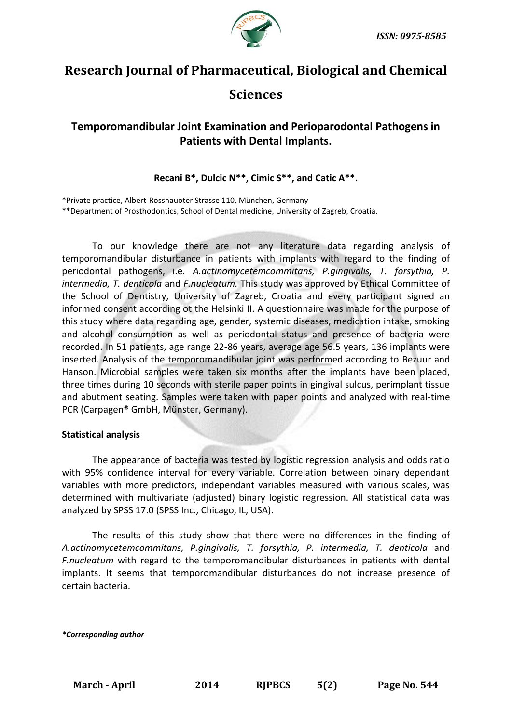

# **Research Journal of Pharmaceutical, Biological and Chemical**

## **Sciences**

## **Temporomandibular Joint Examination and Perioparodontal Pathogens in Patients with Dental Implants.**

**Recani B\*, Dulcic N\*\*, Cimic S\*\*, and Catic A\*\*.**

\*Private practice, Albert-Rosshauoter Strasse 110, München, Germany \*\*Department of Prosthodontics, School of Dental medicine, University of Zagreb, Croatia.

To our knowledge there are not any literature data regarding analysis of temporomandibular disturbance in patients with implants with regard to the finding of periodontal pathogens, i.e. *A.actinomycetemcommitans, P.gingivalis, T. forsythia, P. intermedia, T. denticola* and *F.nucleatum.* This study was approved by Ethical Committee of the School of Dentistry, University of Zagreb, Croatia and every participant signed an informed consent according ot the Helsinki II. A questionnaire was made for the purpose of this study where data regarding age, gender, systemic diseases, medication intake, smoking and alcohol consumption as well as periodontal status and presence of bacteria were recorded. In 51 patients, age range 22-86 years, average age 56.5 years, 136 implants were inserted. Analysis of the temporomandibular joint was performed according to Bezuur and Hanson. Microbial samples were taken six months after the implants have been placed, three times during 10 seconds with sterile paper points in gingival sulcus, perimplant tissue and abutment seating. Samples were taken with paper points and analyzed with real-time PCR (Carpagen® GmbH, Münster, Germany).

#### **Statistical analysis**

The appearance of bacteria was tested by logistic regression analysis and odds ratio with 95% confidence interval for every variable. Correlation between binary dependant variables with more predictors, independant variables measured with various scales, was determined with multivariate (adjusted) binary logistic regression. All statistical data was analyzed by SPSS 17.0 (SPSS Inc., Chicago, IL, USA).

The results of this study show that there were no differences in the finding of *A.actinomycetemcommitans, P.gingivalis, T. forsythia, P. intermedia, T. denticola* and *F.nucleatum* with regard to the temporomandibular disturbances in patients with dental implants. It seems that temporomandibular disturbances do not increase presence of certain bacteria.

*\*Corresponding author*